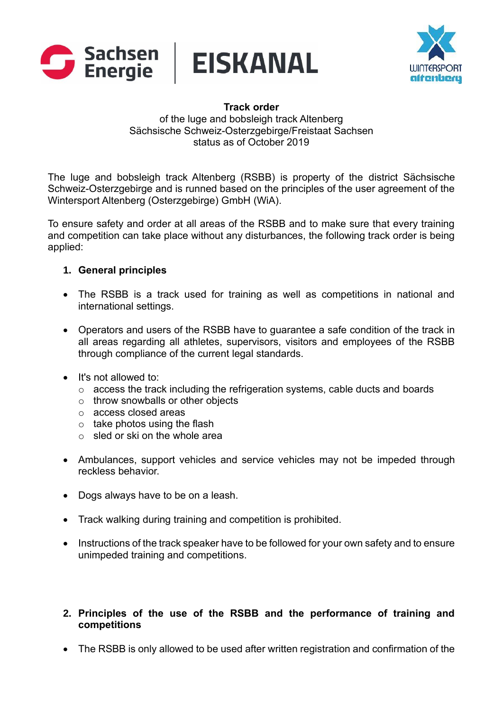





#### **Track order** of the luge and bobsleigh track Altenberg Sächsische Schweiz-Osterzgebirge/Freistaat Sachsen status as of October 2019

The luge and bobsleigh track Altenberg (RSBB) is property of the district Sächsische Schweiz-Osterzgebirge and is runned based on the principles of the user agreement of the Wintersport Altenberg (Osterzgebirge) GmbH (WiA).

To ensure safety and order at all areas of the RSBB and to make sure that every training and competition can take place without any disturbances, the following track order is being applied:

### **1. General principles**

- The RSBB is a track used for training as well as competitions in national and international settings.
- Operators and users of the RSBB have to guarantee a safe condition of the track in all areas regarding all athletes, supervisors, visitors and employees of the RSBB through compliance of the current legal standards.
- It's not allowed to:
	- o access the track including the refrigeration systems, cable ducts and boards
	- o throw snowballs or other objects
	- o access closed areas
	- $\circ$  take photos using the flash
	- $\circ$  sled or ski on the whole area
- Ambulances, support vehicles and service vehicles may not be impeded through reckless behavior.
- Dogs always have to be on a leash.
- Track walking during training and competition is prohibited.
- Instructions of the track speaker have to be followed for your own safety and to ensure unimpeded training and competitions.

# **2. Principles of the use of the RSBB and the performance of training and competitions**

• The RSBB is only allowed to be used after written registration and confirmation of the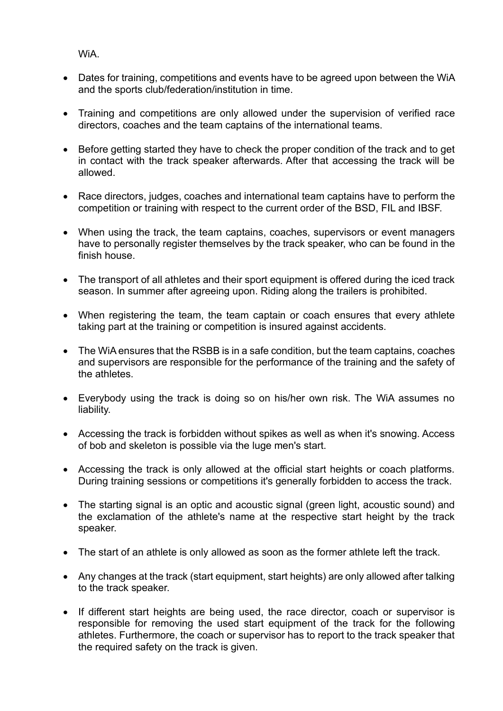WiA.

- Dates for training, competitions and events have to be agreed upon between the WiA and the sports club/federation/institution in time.
- Training and competitions are only allowed under the supervision of verified race directors, coaches and the team captains of the international teams.
- Before getting started they have to check the proper condition of the track and to get in contact with the track speaker afterwards. After that accessing the track will be allowed.
- Race directors, judges, coaches and international team captains have to perform the competition or training with respect to the current order of the BSD, FIL and IBSF.
- When using the track, the team captains, coaches, supervisors or event managers have to personally register themselves by the track speaker, who can be found in the finish house.
- The transport of all athletes and their sport equipment is offered during the iced track season. In summer after agreeing upon. Riding along the trailers is prohibited.
- When registering the team, the team captain or coach ensures that every athlete taking part at the training or competition is insured against accidents.
- The WiA ensures that the RSBB is in a safe condition, but the team captains, coaches and supervisors are responsible for the performance of the training and the safety of the athletes.
- Everybody using the track is doing so on his/her own risk. The WiA assumes no liability.
- Accessing the track is forbidden without spikes as well as when it's snowing. Access of bob and skeleton is possible via the luge men's start.
- Accessing the track is only allowed at the official start heights or coach platforms. During training sessions or competitions it's generally forbidden to access the track.
- The starting signal is an optic and acoustic signal (green light, acoustic sound) and the exclamation of the athlete's name at the respective start height by the track speaker.
- The start of an athlete is only allowed as soon as the former athlete left the track.
- Any changes at the track (start equipment, start heights) are only allowed after talking to the track speaker.
- If different start heights are being used, the race director, coach or supervisor is responsible for removing the used start equipment of the track for the following athletes. Furthermore, the coach or supervisor has to report to the track speaker that the required safety on the track is given.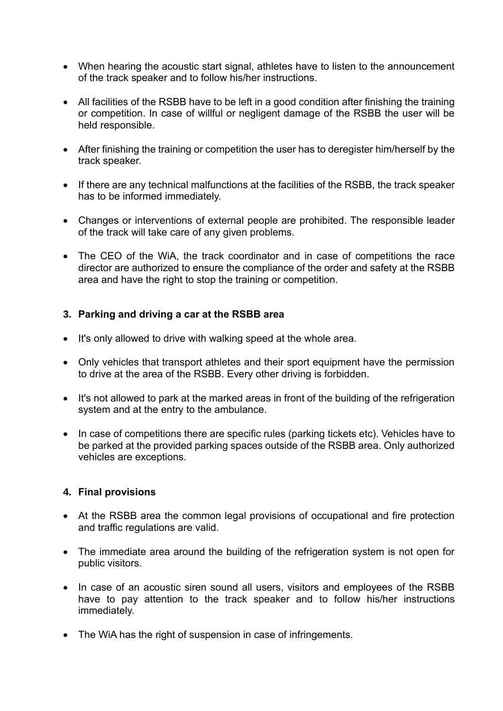- When hearing the acoustic start signal, athletes have to listen to the announcement of the track speaker and to follow his/her instructions.
- All facilities of the RSBB have to be left in a good condition after finishing the training or competition. In case of willful or negligent damage of the RSBB the user will be held responsible.
- After finishing the training or competition the user has to deregister him/herself by the track speaker.
- If there are any technical malfunctions at the facilities of the RSBB, the track speaker has to be informed immediately.
- Changes or interventions of external people are prohibited. The responsible leader of the track will take care of any given problems.
- The CEO of the WiA, the track coordinator and in case of competitions the race director are authorized to ensure the compliance of the order and safety at the RSBB area and have the right to stop the training or competition.

## **3. Parking and driving a car at the RSBB area**

- It's only allowed to drive with walking speed at the whole area.
- Only vehicles that transport athletes and their sport equipment have the permission to drive at the area of the RSBB. Every other driving is forbidden.
- It's not allowed to park at the marked areas in front of the building of the refrigeration system and at the entry to the ambulance.
- In case of competitions there are specific rules (parking tickets etc). Vehicles have to be parked at the provided parking spaces outside of the RSBB area. Only authorized vehicles are exceptions.

### **4. Final provisions**

- At the RSBB area the common legal provisions of occupational and fire protection and traffic regulations are valid.
- The immediate area around the building of the refrigeration system is not open for public visitors.
- In case of an acoustic siren sound all users, visitors and employees of the RSBB have to pay attention to the track speaker and to follow his/her instructions immediately.
- The WiA has the right of suspension in case of infringements.